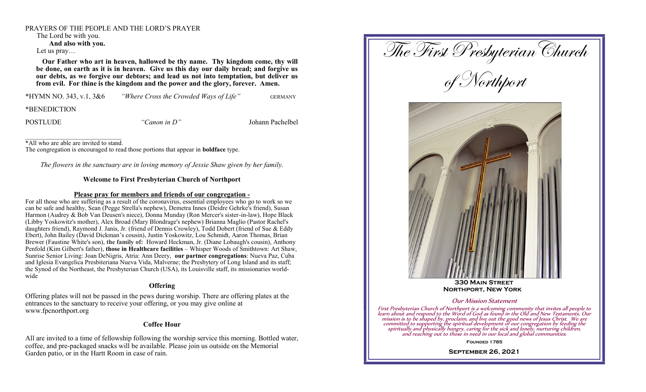#### PRAYERS OF THE PEOPLE AND THE LORD'S PRAYER

The Lord be with you.

**And also with you.**

Let us pray…

 **Our Father who art in heaven, hallowed be thy name. Thy kingdom come, thy will be done, on earth as it is in heaven. Give us this day our daily bread; and forgive us our debts, as we forgive our debtors; and lead us not into temptation, but deliver us from evil. For thine is the kingdom and the power and the glory, forever. Amen.**

\*HYMN NO. 343, v.1, 3&6 *"Where Cross the Crowded Ways of Life"* GERMANY

\*BENEDICTION

POSTLUDE *"Canon in D"* Johann Pachelbel

\*All who are able are invited to stand.

The congregation is encouraged to read those portions that appear in **boldface** type.

*The flowers in the sanctuary are in loving memory of Jessie Shaw given by her family.*

## **Welcome to First Presbyterian Church of Northport**

#### **Please pray for members and friends of our congregation -**

For all those who are suffering as a result of the coronavirus, essential employees who go to work so we can be safe and healthy, Sean (Pegge Strella's nephew), Demetra Innes (Deidre Gehrke's friend), Susan Harmon (Audrey & Bob Van Deusen's niece), Donna Munday (Ron Mercer's sister-in-law), Hope Black (Libby Yoskowitz's mother), Alex Broad (Mary Blondrage's nephew) Brianna Maglio (Pastor Rachel's daughters friend), Raymond J. Janis, Jr. (friend of Dennis Crowley), Todd Dobert (friend of Sue & Eddy Ebert), John Bailey (David Dickman's cousin), Justin Yoskowitz, Lou Schmidt, Aaron Thomas, Brian Brewer (Faustine White's son), **the family of:** Howard Heckman, Jr. (Diane Lobaugh's cousin), Anthony Penfold (Kim Gilbert's father), **those in Healthcare facilities** – Whisper Woods of Smithtown: Art Shaw, Sunrise Senior Living: Joan DeNigris, Atria: Ann Deery, **our partner congregations**: Nueva Paz, Cuba and Iglesia Evangelica Presbiteriana Nueva Vida, Malverne; the Presbytery of Long Island and its staff; the Synod of the Northeast, the Presbyterian Church (USA), its Louisville staff, its missionaries worldwide

# **Offering**

Offering plates will not be passed in the pews during worship. There are offering plates at the entrances to the sanctuary to receive your offering, or you may give online at www.fpcnorthport.org

### **Coffee Hour**

All are invited to a time of fellowship following the worship service this morning. Bottled water, coffee, and pre-packaged snacks will be available. Please join us outside on the Memorial Garden patio, or in the Hartt Room in case of rain.



**Founded 1785**

**September 26, 2021**